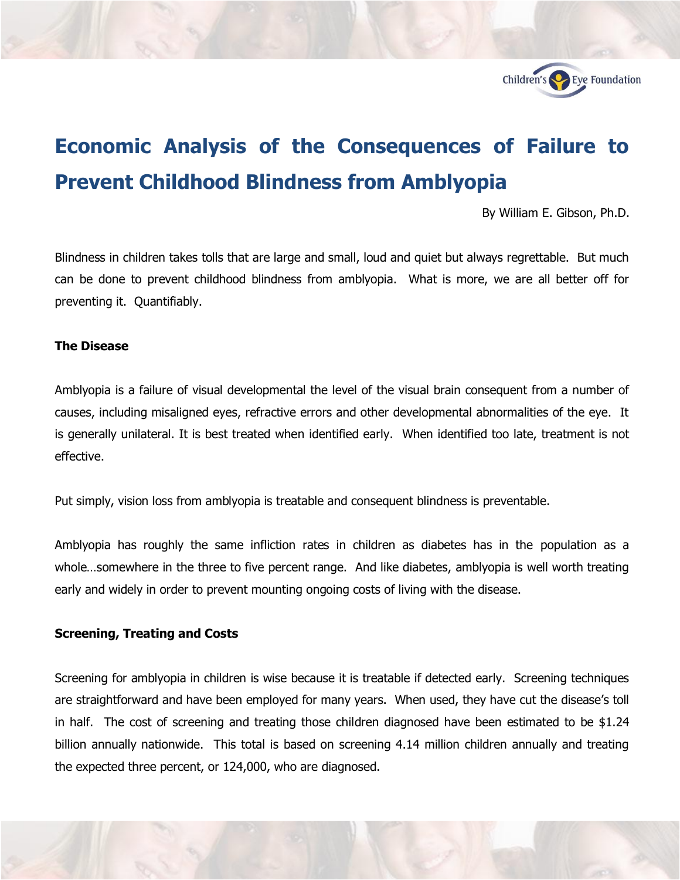

# **Economic Analysis of the Consequences of Failure to Prevent Childhood Blindness from Amblyopia**

By William E. Gibson, Ph.D.

Blindness in children takes tolls that are large and small, loud and quiet but always regrettable. But much can be done to prevent childhood blindness from amblyopia. What is more, we are all better off for preventing it. Quantifiably.

#### **The Disease**

Amblyopia is a failure of visual developmental the level of the visual brain consequent from a number of causes, including misaligned eyes, refractive errors and other developmental abnormalities of the eye. It is generally unilateral. It is best treated when identified early. When identified too late, treatment is not effective.

Put simply, vision loss from amblyopia is treatable and consequent blindness is preventable.

Amblyopia has roughly the same infliction rates in children as diabetes has in the population as a whole…somewhere in the three to five percent range. And like diabetes, amblyopia is well worth treating early and widely in order to prevent mounting ongoing costs of living with the disease.

## **Screening, Treating and Costs**

Screening for amblyopia in children is wise because it is treatable if detected early. Screening techniques are straightforward and have been employed for many years. When used, they have cut the disease's toll in half. The cost of screening and treating those children diagnosed have been estimated to be \$1.24 billion annually nationwide. This total is based on screening 4.14 million children annually and treating the expected three percent, or 124,000, who are diagnosed.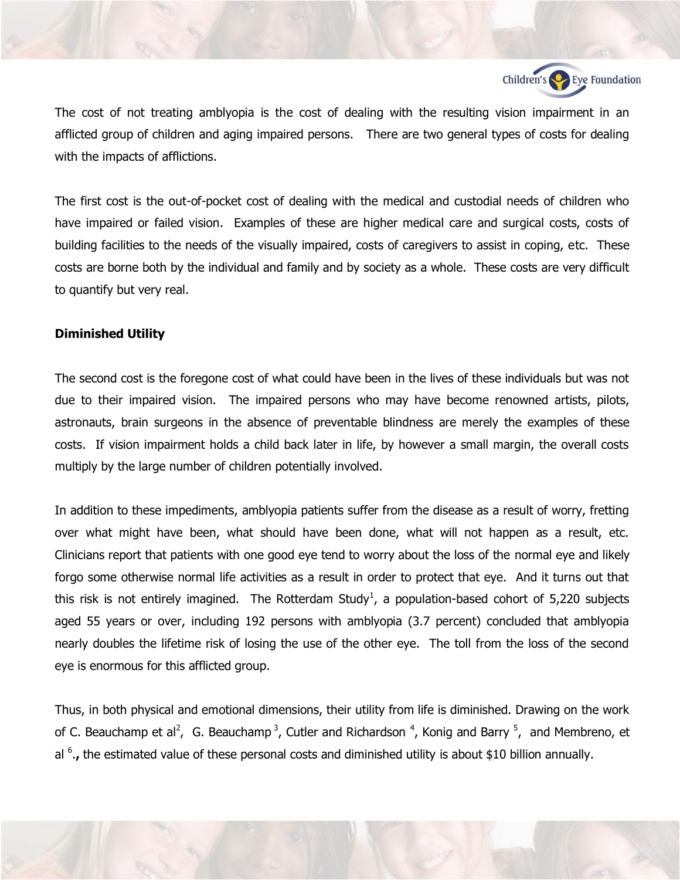

The cost of not treating amblyopia is the cost of dealing with the resulting vision impairment in an afflicted group of children and aging impaired persons. There are two general types of costs for dealing with the impacts of afflictions.

The first cost is the out-of-pocket cost of dealing with the medical and custodial needs of children who have impaired or failed vision. Examples of these are higher medical care and surgical costs, costs of building facilities to the needs of the visually impaired, costs of caregivers to assist in coping, etc. These costs are borne both by the individual and family and by society as a whole. These costs are very difficult to quantify but very real.

#### **Diminished Utility**

The second cost is the foregone cost of what could have been in the lives of these individuals but was not due to their impaired vision. The impaired persons who may have become renowned artists, pilots, astronauts, brain surgeons in the absence of preventable blindness are merely the examples of these costs. If vision impairment holds a child back later in life, by however a small margin, the overall costs multiply by the large number of children potentially involved.

In addition to these impediments, amblyopia patients suffer from the disease as a result of worry, fretting over what might have been, what should have been done, what will not happen as a result, etc. Clinicians report that patients with one good eye tend to worry about the loss of the normal eye and likely forgo some otherwise normal life activities as a result in order to protect that eye. And it turns out that this risk is not entirely imagined. The Rotterdam Study<sup>1</sup>, a population-based cohort of 5,220 subjects aged 55 years or over, including 192 persons with amblyopia (3.7 percent) concluded that amblyopia nearly doubles the lifetime risk of losing the use of the other eye. The toll from the loss of the second eye is enormous for this afflicted group.

Thus, in both physical and emotional dimensions, their utility from life is diminished. Drawing on the work of C. Beauchamp et al<sup>2</sup>, G. Beauchamp<sup>3</sup>, Cutler and Richardson<sup>4</sup>, Konig and Barry<sup>5</sup>, and Membreno, et al <sup>6</sup>., the estimated value of these personal costs and diminished utility is about \$10 billion annually.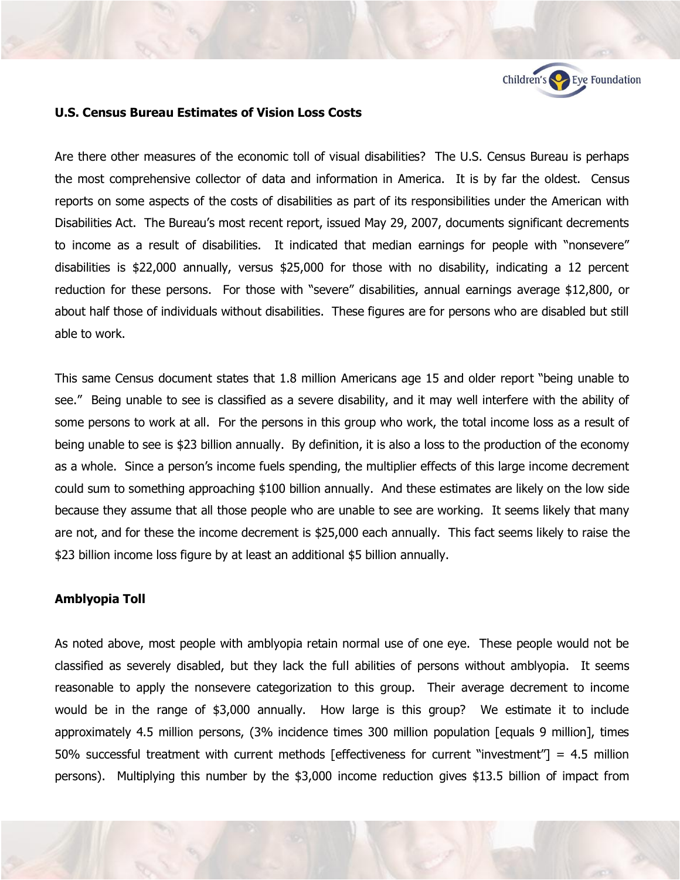

#### **U.S. Census Bureau Estimates of Vision Loss Costs**

Are there other measures of the economic toll of visual disabilities? The U.S. Census Bureau is perhaps the most comprehensive collector of data and information in America. It is by far the oldest. Census reports on some aspects of the costs of disabilities as part of its responsibilities under the American with Disabilities Act. The Bureau's most recent report, issued May 29, 2007, documents significant decrements to income as a result of disabilities. It indicated that median earnings for people with "nonsevere" disabilities is \$22,000 annually, versus \$25,000 for those with no disability, indicating a 12 percent reduction for these persons. For those with "severe" disabilities, annual earnings average \$12,800, or about half those of individuals without disabilities. These figures are for persons who are disabled but still able to work.

This same Census document states that 1.8 million Americans age 15 and older report "being unable to see." Being unable to see is classified as a severe disability, and it may well interfere with the ability of some persons to work at all. For the persons in this group who work, the total income loss as a result of being unable to see is \$23 billion annually. By definition, it is also a loss to the production of the economy as a whole. Since a person's income fuels spending, the multiplier effects of this large income decrement could sum to something approaching \$100 billion annually. And these estimates are likely on the low side because they assume that all those people who are unable to see are working. It seems likely that many are not, and for these the income decrement is \$25,000 each annually. This fact seems likely to raise the \$23 billion income loss figure by at least an additional \$5 billion annually.

# **Amblyopia Toll**

As noted above, most people with amblyopia retain normal use of one eye. These people would not be classified as severely disabled, but they lack the full abilities of persons without amblyopia. It seems reasonable to apply the nonsevere categorization to this group. Their average decrement to income would be in the range of \$3,000 annually. How large is this group? We estimate it to include approximately 4.5 million persons, (3% incidence times 300 million population [equals 9 million], times 50% successful treatment with current methods [effectiveness for current "investment"] = 4.5 million persons). Multiplying this number by the \$3,000 income reduction gives \$13.5 billion of impact from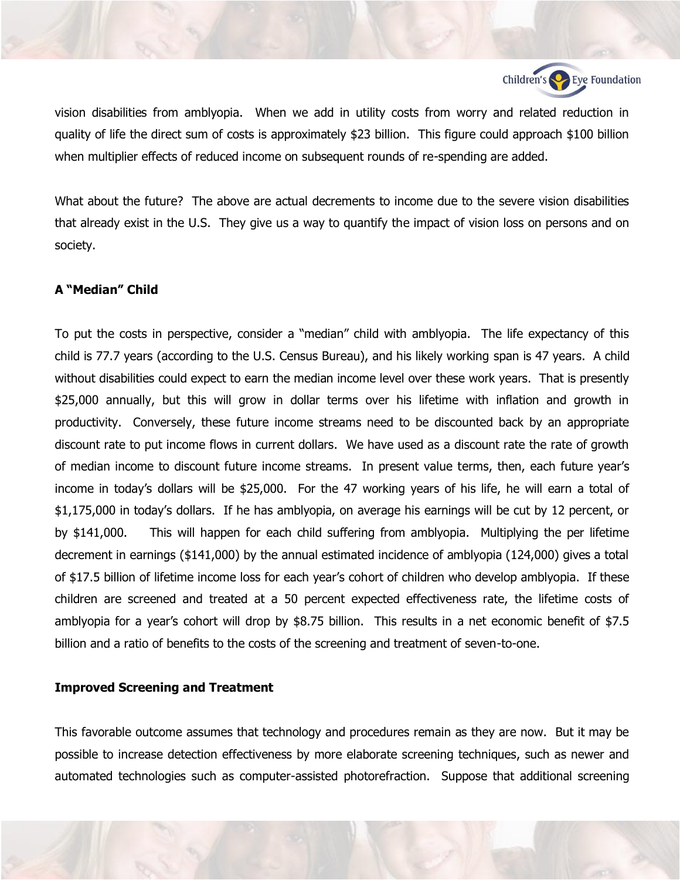

vision disabilities from amblyopia. When we add in utility costs from worry and related reduction in quality of life the direct sum of costs is approximately \$23 billion. This figure could approach \$100 billion when multiplier effects of reduced income on subsequent rounds of re-spending are added.

What about the future? The above are actual decrements to income due to the severe vision disabilities that already exist in the U.S. They give us a way to quantify the impact of vision loss on persons and on society.

# **A "Median" Child**

To put the costs in perspective, consider a "median" child with amblyopia. The life expectancy of this child is 77.7 years (according to the U.S. Census Bureau), and his likely working span is 47 years. A child without disabilities could expect to earn the median income level over these work years. That is presently \$25,000 annually, but this will grow in dollar terms over his lifetime with inflation and growth in productivity. Conversely, these future income streams need to be discounted back by an appropriate discount rate to put income flows in current dollars. We have used as a discount rate the rate of growth of median income to discount future income streams. In present value terms, then, each future year's income in today's dollars will be \$25,000. For the 47 working years of his life, he will earn a total of \$1,175,000 in today's dollars. If he has amblyopia, on average his earnings will be cut by 12 percent, or by \$141,000. This will happen for each child suffering from amblyopia. Multiplying the per lifetime decrement in earnings (\$141,000) by the annual estimated incidence of amblyopia (124,000) gives a total of \$17.5 billion of lifetime income loss for each year's cohort of children who develop amblyopia. If these children are screened and treated at a 50 percent expected effectiveness rate, the lifetime costs of amblyopia for a year's cohort will drop by \$8.75 billion. This results in a net economic benefit of \$7.5 billion and a ratio of benefits to the costs of the screening and treatment of seven-to-one.

### **Improved Screening and Treatment**

This favorable outcome assumes that technology and procedures remain as they are now. But it may be possible to increase detection effectiveness by more elaborate screening techniques, such as newer and automated technologies such as computer-assisted photorefraction. Suppose that additional screening